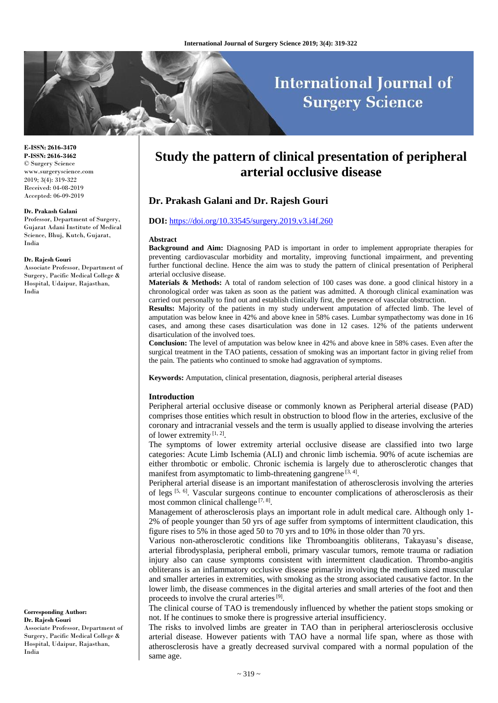# **International Journal of Surgery Science**

#### **E-ISSN: 2616-3470 P-ISSN: 2616-3462** © Surgery Science www.surgeryscience.com

2019; 3(4): 319-322 Received: 04-08-2019 Accepted: 06-09-2019

#### **Dr. Prakash Galani**

Professor, Department of Surgery, Gujarat Adani Institute of Medical Science, Bhuj, Kutch, Gujarat, India

#### **Dr. Rajesh Gouri**

Associate Professor, Department of Surgery, Pacific Medical College & Hospital, Udaipur, Rajasthan, India

## **Corresponding Author: Dr. Rajesh Gouri**

Associate Professor, Department of Surgery, Pacific Medical College & Hospital, Udaipur, Rajasthan, India

## **Study the pattern of clinical presentation of peripheral arterial occlusive disease**

## **Dr. Prakash Galani and Dr. Rajesh Gouri**

## **DOI:** <https://doi.org/10.33545/surgery.2019.v3.i4f.260>

#### **Abstract**

**Background and Aim:** Diagnosing PAD is important in order to implement appropriate therapies for preventing cardiovascular morbidity and mortality, improving functional impairment, and preventing further functional decline. Hence the aim was to study the pattern of clinical presentation of Peripheral arterial occlusive disease.

**Materials & Methods:** A total of random selection of 100 cases was done. a good clinical history in a chronological order was taken as soon as the patient was admitted. A thorough clinical examination was carried out personally to find out and establish clinically first, the presence of vascular obstruction.

**Results:** Majority of the patients in my study underwent amputation of affected limb. The level of amputation was below knee in 42% and above knee in 58% cases. Lumbar sympathectomy was done in 16 cases, and among these cases disarticulation was done in 12 cases. 12% of the patients underwent disarticulation of the involved toes.

**Conclusion:** The level of amputation was below knee in 42% and above knee in 58% cases. Even after the surgical treatment in the TAO patients, cessation of smoking was an important factor in giving relief from the pain. The patients who continued to smoke had aggravation of symptoms.

**Keywords:** Amputation, clinical presentation, diagnosis, peripheral arterial diseases

## **Introduction**

Peripheral arterial occlusive disease or commonly known as Peripheral arterial disease (PAD) comprises those entities which result in obstruction to blood flow in the arteries, exclusive of the coronary and intracranial vessels and the term is usually applied to disease involving the arteries of lower extremity  $[1, 2]$ .

The symptoms of lower extremity arterial occlusive disease are classified into two large categories: Acute Limb Ischemia (ALI) and chronic limb ischemia. 90% of acute ischemias are either thrombotic or embolic. Chronic ischemia is largely due to atherosclerotic changes that manifest from asymptomatic to limb-threatening gangrene  $[3, 4]$ .

Peripheral arterial disease is an important manifestation of atherosclerosis involving the arteries of legs <sup>[5, 6]</sup>. Vascular surgeons continue to encounter complications of atherosclerosis as their most common clinical challenge<sup>[7, 8]</sup>.

Management of atherosclerosis plays an important role in adult medical care. Although only 1- 2% of people younger than 50 yrs of age suffer from symptoms of intermittent claudication, this figure rises to 5% in those aged 50 to 70 yrs and to 10% in those older than 70 yrs.

Various non-atherosclerotic conditions like Thromboangitis obliterans, Takayasu's disease, arterial fibrodysplasia, peripheral emboli, primary vascular tumors, remote trauma or radiation injury also can cause symptoms consistent with intermittent claudication. Thrombo-angitis obliterans is an inflammatory occlusive disease primarily involving the medium sized muscular and smaller arteries in extremities, with smoking as the strong associated causative factor. In the lower limb, the disease commences in the digital arteries and small arteries of the foot and then proceeds to involve the crural arteries<sup>[9]</sup>.

The clinical course of TAO is tremendously influenced by whether the patient stops smoking or not. If he continues to smoke there is progressive arterial insufficiency.

The risks to involved limbs are greater in TAO than in peripheral arteriosclerosis occlusive arterial disease. However patients with TAO have a normal life span, where as those with atherosclerosis have a greatly decreased survival compared with a normal population of the same age.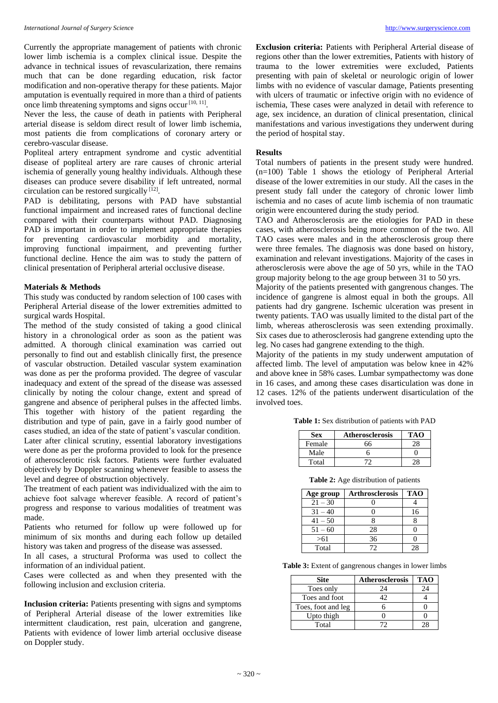Currently the appropriate management of patients with chronic lower limb ischemia is a complex clinical issue. Despite the advance in technical issues of revascularization, there remains much that can be done regarding education, risk factor modification and non-operative therapy for these patients. Major amputation is eventually required in more than a third of patients once limb threatening symptoms and signs occur<sup>[10, 11]</sup>.

Never the less, the cause of death in patients with Peripheral arterial disease is seldom direct result of lower limb ischemia, most patients die from complications of coronary artery or cerebro-vascular disease.

Popliteal artery entrapment syndrome and cystic adventitial disease of popliteal artery are rare causes of chronic arterial ischemia of generally young healthy individuals. Although these diseases can produce severe disability if left untreated, normal circulation can be restored surgically [12].

PAD is debilitating, persons with PAD have substantial functional impairment and increased rates of functional decline compared with their counterparts without PAD. Diagnosing PAD is important in order to implement appropriate therapies for preventing cardiovascular morbidity and mortality, improving functional impairment, and preventing further functional decline. Hence the aim was to study the pattern of clinical presentation of Peripheral arterial occlusive disease.

## **Materials & Methods**

This study was conducted by random selection of 100 cases with Peripheral Arterial disease of the lower extremities admitted to surgical wards Hospital.

The method of the study consisted of taking a good clinical history in a chronological order as soon as the patient was admitted. A thorough clinical examination was carried out personally to find out and establish clinically first, the presence of vascular obstruction. Detailed vascular system examination was done as per the proforma provided. The degree of vascular inadequacy and extent of the spread of the disease was assessed clinically by noting the colour change, extent and spread of gangrene and absence of peripheral pulses in the affected limbs. This together with history of the patient regarding the distribution and type of pain, gave in a fairly good number of cases studied, an idea of the state of patient's vascular condition. Later after clinical scrutiny, essential laboratory investigations were done as per the proforma provided to look for the presence of atherosclerotic risk factors. Patients were further evaluated objectively by Doppler scanning whenever feasible to assess the level and degree of obstruction objectively.

The treatment of each patient was individualized with the aim to achieve foot salvage wherever feasible. A record of patient's progress and response to various modalities of treatment was made.

Patients who returned for follow up were followed up for minimum of six months and during each follow up detailed history was taken and progress of the disease was assessed.

In all cases, a structural Proforma was used to collect the information of an individual patient.

Cases were collected as and when they presented with the following inclusion and exclusion criteria.

**Inclusion criteria:** Patients presenting with signs and symptoms of Peripheral Arterial disease of the lower extremities like intermittent claudication, rest pain, ulceration and gangrene, Patients with evidence of lower limb arterial occlusive disease on Doppler study.

**Exclusion criteria:** Patients with Peripheral Arterial disease of regions other than the lower extremities, Patients with history of trauma to the lower extremities were excluded, Patients presenting with pain of skeletal or neurologic origin of lower limbs with no evidence of vascular damage, Patients presenting with ulcers of traumatic or infective origin with no evidence of ischemia, These cases were analyzed in detail with reference to age, sex incidence, an duration of clinical presentation, clinical manifestations and various investigations they underwent during the period of hospital stay.

## **Results**

Total numbers of patients in the present study were hundred. (n=100) Table 1 shows the etiology of Peripheral Arterial disease of the lower extremities in our study. All the cases in the present study fall under the category of chronic lower limb ischemia and no cases of acute limb ischemia of non traumatic origin were encountered during the study period.

TAO and Atherosclerosis are the etiologies for PAD in these cases, with atherosclerosis being more common of the two. All TAO cases were males and in the atherosclerosis group there were three females. The diagnosis was done based on history, examination and relevant investigations. Majority of the cases in atherosclerosis were above the age of 50 yrs, while in the TAO group majority belong to the age group between 31 to 50 yrs.

Majority of the patients presented with gangrenous changes. The incidence of gangrene is almost equal in both the groups. All patients had dry gangrene. Ischemic ulceration was present in twenty patients. TAO was usually limited to the distal part of the limb, whereas atherosclerosis was seen extending proximally. Six cases due to atherosclerosis had gangrene extending upto the leg. No cases had gangrene extending to the thigh.

Majority of the patients in my study underwent amputation of affected limb. The level of amputation was below knee in 42% and above knee in 58% cases. Lumbar sympathectomy was done in 16 cases, and among these cases disarticulation was done in 12 cases. 12% of the patients underwent disarticulation of the involved toes.

**Table 1:** Sex distribution of patients with PAD

| <b>Sex</b> | <b>Atherosclerosis</b> | тао |
|------------|------------------------|-----|
| Female     | 66                     | ٠×  |
| Male       |                        |     |
| Total      |                        |     |

**Table 2:** Age distribution of patients

| Age group | <b>Arthrosclerosis</b> | <b>TAO</b> |
|-----------|------------------------|------------|
| $21 - 30$ |                        |            |
| $31 - 40$ |                        | 16         |
| $41 - 50$ |                        |            |
| $51 - 60$ | 28                     |            |
| >61       | 36                     |            |
| Total     | 72                     | 28         |

**Table 3:** Extent of gangrenous changes in lower limbs

| <b>Site</b>        | <b>Atherosclerosis</b> | <b>TAO</b> |
|--------------------|------------------------|------------|
| Toes only          | 24                     | 24         |
| Toes and foot      |                        |            |
| Toes, foot and leg |                        |            |
| Upto thigh         |                        |            |
| Total              |                        |            |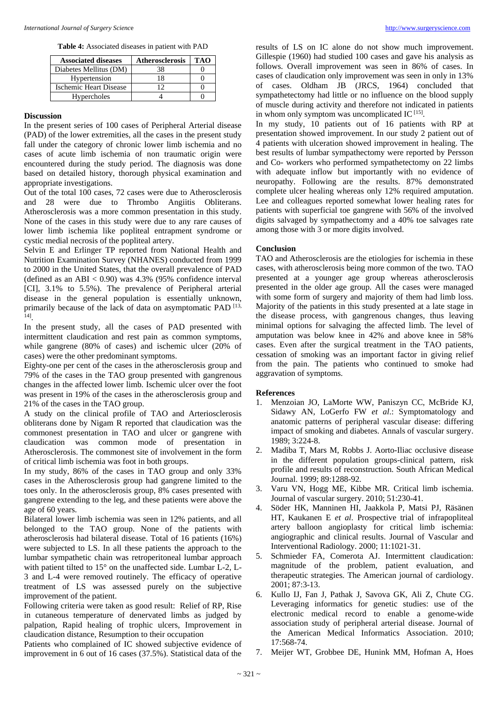| <b>Associated diseases</b> | <b>Atherosclerosis</b> | тал |
|----------------------------|------------------------|-----|
| Diabetes Mellitus (DM)     | 38                     |     |
| Hypertension               | 18                     |     |
| Ischemic Heart Disease     |                        |     |
| Hypercholes                |                        |     |

## **Discussion**

In the present series of 100 cases of Peripheral Arterial disease (PAD) of the lower extremities, all the cases in the present study fall under the category of chronic lower limb ischemia and no cases of acute limb ischemia of non traumatic origin were encountered during the study period. The diagnosis was done based on detailed history, thorough physical examination and appropriate investigations.

Out of the total 100 cases, 72 cases were due to Atherosclerosis and 28 were due to Thrombo Angiitis Obliterans. Atherosclerosis was a more common presentation in this study. None of the cases in this study were due to any rare causes of lower limb ischemia like popliteal entrapment syndrome or cystic medial necrosis of the popliteal artery.

Selvin E and Erlinger TP reported from National Health and Nutrition Examination Survey (NHANES) conducted from 1999 to 2000 in the United States, that the overall prevalence of PAD (defined as an ABI  $< 0.90$ ) was 4.3% (95% confidence interval [CI], 3.1% to 5.5%). The prevalence of Peripheral arterial disease in the general population is essentially unknown, primarily because of the lack of data on asymptomatic PAD [13, 14] .

In the present study, all the cases of PAD presented with intermittent claudication and rest pain as common symptoms, while gangrene (80% of cases) and ischemic ulcer (20% of cases) were the other predominant symptoms.

Eighty-one per cent of the cases in the atherosclerosis group and 79% of the cases in the TAO group presented with gangrenous changes in the affected lower limb. Ischemic ulcer over the foot was present in 19% of the cases in the atherosclerosis group and 21% of the cases in the TAO group.

A study on the clinical profile of TAO and Arteriosclerosis obliterans done by Nigam R reported that claudication was the commonest presentation in TAO and ulcer or gangrene with claudication was common mode of presentation in Atherosclerosis. The commonest site of involvement in the form of critical limb ischemia was foot in both groups.

In my study, 86% of the cases in TAO group and only 33% cases in the Atherosclerosis group had gangrene limited to the toes only. In the atherosclerosis group, 8% cases presented with gangrene extending to the leg, and these patients were above the age of 60 years.

Bilateral lower limb ischemia was seen in 12% patients, and all belonged to the TAO group. None of the patients with atherosclerosis had bilateral disease. Total of 16 patients (16%) were subjected to LS. In all these patients the approach to the lumbar sympathetic chain was retroperitoneal lumbar approach with patient tilted to 15° on the unaffected side. Lumbar L-2, L-3 and L-4 were removed routinely. The efficacy of operative treatment of LS was assessed purely on the subjective improvement of the patient.

Following criteria were taken as good result: Relief of RP, Rise in cutaneous temperature of denervated limbs as judged by palpation, Rapid healing of trophic ulcers, Improvement in claudication distance, Resumption to their occupation

Patients who complained of IC showed subjective evidence of improvement in 6 out of 16 cases (37.5%). Statistical data of the

results of LS on IC alone do not show much improvement. Gillespie (1960) had studied 100 cases and gave his analysis as follows. Overall improvement was seen in 86% of cases. In cases of claudication only improvement was seen in only in 13% of cases. Oldham JB (JRCS, 1964) concluded that sympathetectomy had little or no influence on the blood supply of muscle during activity and therefore not indicated in patients in whom only symptom was uncomplicated IC  $^{[15]}$ .

In my study, 10 patients out of 16 patients with RP at presentation showed improvement. In our study 2 patient out of 4 patients with ulceration showed improvement in healing. The best results of lumbar sympathectomy were reported by Persson and Co- workers who performed sympathetectomy on 22 limbs with adequate inflow but importantly with no evidence of neuropathy. Following are the results. 87% demonstrated complete ulcer healing whereas only 12% required amputation. Lee and colleagues reported somewhat lower healing rates for patients with superficial toe gangrene with 56% of the involved digits salvaged by sympathectomy and a 40% toe salvages rate among those with 3 or more digits involved.

## **Conclusion**

TAO and Atherosclerosis are the etiologies for ischemia in these cases, with atherosclerosis being more common of the two. TAO presented at a younger age group whereas atherosclerosis presented in the older age group. All the cases were managed with some form of surgery and majority of them had limb loss. Majority of the patients in this study presented at a late stage in the disease process, with gangrenous changes, thus leaving minimal options for salvaging the affected limb. The level of amputation was below knee in 42% and above knee in 58% cases. Even after the surgical treatment in the TAO patients, cessation of smoking was an important factor in giving relief from the pain. The patients who continued to smoke had aggravation of symptoms.

#### **References**

- 1. Menzoian JO, LaMorte WW, Paniszyn CC, McBride KJ, Sidawy AN, LoGerfo FW *et al*.: Symptomatology and anatomic patterns of peripheral vascular disease: differing impact of smoking and diabetes. Annals of vascular surgery. 1989; 3:224-8.
- 2. Madiba T, Mars M, Robbs J. Aorto-Iliac occlusive disease in the different population groups-clinical pattern, risk profile and results of reconstruction. South African Medical Journal. 1999; 89:1288-92.
- 3. Varu VN, Hogg ME, Kibbe MR. Critical limb ischemia. Journal of vascular surgery. 2010; 51:230-41.
- 4. Söder HK, Manninen HI, Jaakkola P, Matsi PJ, Räsänen HT, Kaukanen E *et al*. Prospective trial of infrapopliteal artery balloon angioplasty for critical limb ischemia: angiographic and clinical results. Journal of Vascular and Interventional Radiology. 2000; 11:1021-31.
- 5. Schmieder FA, Comerota AJ. Intermittent claudication: magnitude of the problem, patient evaluation, and therapeutic strategies. The American journal of cardiology. 2001; 87:3-13.
- 6. Kullo IJ, Fan J, Pathak J, Savova GK, Ali Z, Chute CG. Leveraging informatics for genetic studies: use of the electronic medical record to enable a genome-wide association study of peripheral arterial disease. Journal of the American Medical Informatics Association. 2010; 17:568-74.
- 7. Meijer WT, Grobbee DE, Hunink MM, Hofman A, Hoes